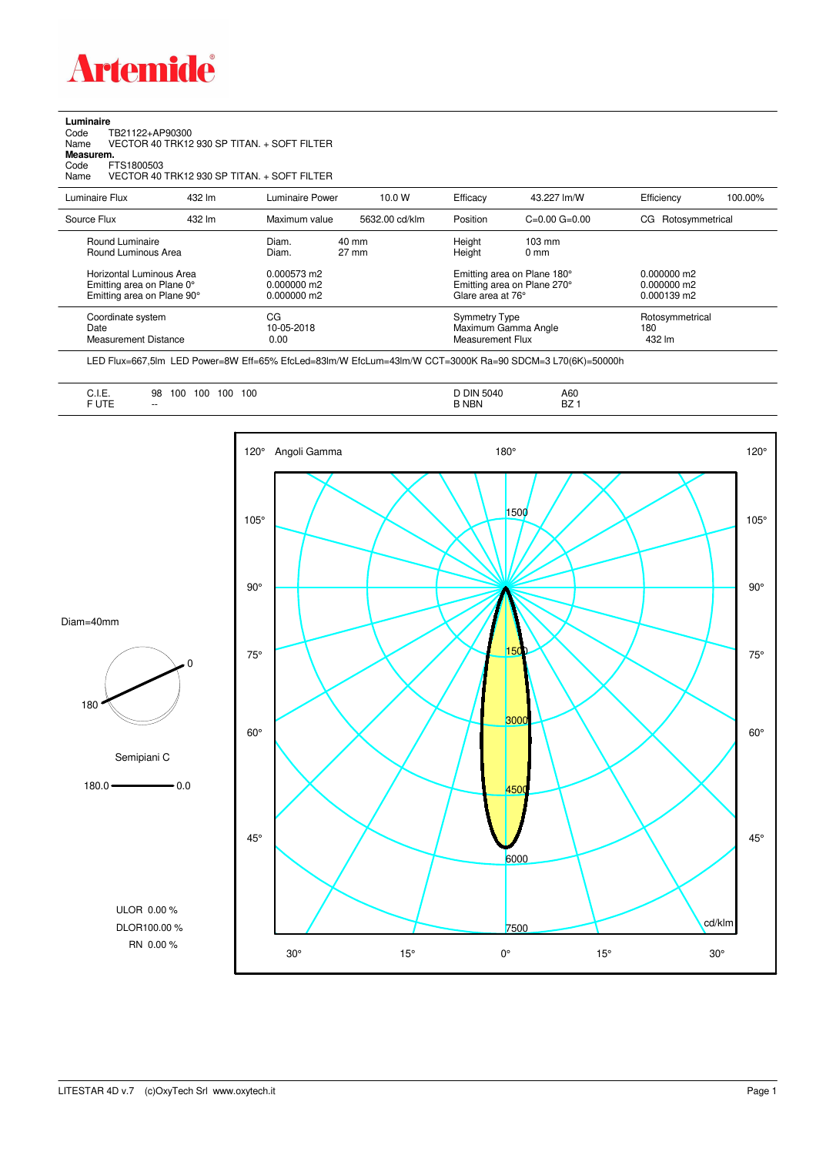

| Luminaire |  |  |
|-----------|--|--|
|           |  |  |

Code TB21122+AP90300 Name VECTOR 40 TRK12 930 SP TITAN. + SOFT FILTER Code TI<br>Name V<br>**Measurem.** 

Code FTS1800503<br>Name VECTOR 40 Name VECTOR 40 TRK12 930 SP TITAN. + SOFT FILTER

| Luminaire Flux                                                                                                                | 432 lm | Luminaire Power                                                 | 10.0 W                   | Efficacy                                 | 43.227 lm/W                                                                                      | Efficiency                                             | 100.00% |
|-------------------------------------------------------------------------------------------------------------------------------|--------|-----------------------------------------------------------------|--------------------------|------------------------------------------|--------------------------------------------------------------------------------------------------|--------------------------------------------------------|---------|
| Source Flux                                                                                                                   | 432 lm | Maximum value                                                   | 5632.00 cd/klm           | Position                                 | $C=0.00$ $G=0.00$                                                                                | Rotosymmetrical<br>CG                                  |         |
| Round Luminaire<br>Round Luminous Area<br>Horizontal Luminous Area<br>Emitting area on Plane 0°<br>Emitting area on Plane 90° |        | Diam.<br>Diam.<br>0.000573 m2<br>$0.000000$ m2<br>$0.000000$ m2 | 40 mm<br>$27 \text{ mm}$ | Height<br>Height<br>Glare area at 76°    | $103 \text{ mm}$<br>$0 \text{ mm}$<br>Emitting area on Plane 180°<br>Emitting area on Plane 270° | $0.000000$ m2<br>$0.000000$ m2<br>$0.000139 \text{ m}$ |         |
| Coordinate system<br>Date<br><b>Measurement Distance</b>                                                                      |        | CG<br>10-05-2018<br>0.00                                        |                          | <b>Symmetry Type</b><br>Measurement Flux | Maximum Gamma Angle                                                                              | Rotosymmetrical<br>180<br>432 lm                       |         |

LED Flux=667,5lm LED Power=8W Eff=65% EfcLed=83lm/W EfcLum=43lm/W CCT=3000K Ra=90 SDCM=3 L70(6K)=50000h